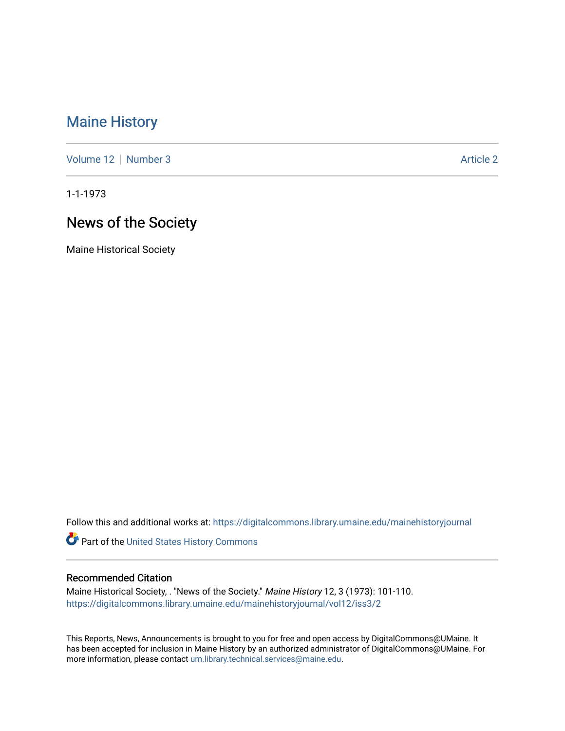## [Maine History](https://digitalcommons.library.umaine.edu/mainehistoryjournal)

[Volume 12](https://digitalcommons.library.umaine.edu/mainehistoryjournal/vol12) [Number 3](https://digitalcommons.library.umaine.edu/mainehistoryjournal/vol12/iss3) [Article 2](https://digitalcommons.library.umaine.edu/mainehistoryjournal/vol12/iss3/2) Article 2

1-1-1973

# News of the Society

Maine Historical Society

Follow this and additional works at: [https://digitalcommons.library.umaine.edu/mainehistoryjournal](https://digitalcommons.library.umaine.edu/mainehistoryjournal?utm_source=digitalcommons.library.umaine.edu%2Fmainehistoryjournal%2Fvol12%2Fiss3%2F2&utm_medium=PDF&utm_campaign=PDFCoverPages) 

Part of the [United States History Commons](http://network.bepress.com/hgg/discipline/495?utm_source=digitalcommons.library.umaine.edu%2Fmainehistoryjournal%2Fvol12%2Fiss3%2F2&utm_medium=PDF&utm_campaign=PDFCoverPages) 

#### Recommended Citation

Maine Historical Society, . "News of the Society." Maine History 12, 3 (1973): 101-110. [https://digitalcommons.library.umaine.edu/mainehistoryjournal/vol12/iss3/2](https://digitalcommons.library.umaine.edu/mainehistoryjournal/vol12/iss3/2?utm_source=digitalcommons.library.umaine.edu%2Fmainehistoryjournal%2Fvol12%2Fiss3%2F2&utm_medium=PDF&utm_campaign=PDFCoverPages)

This Reports, News, Announcements is brought to you for free and open access by DigitalCommons@UMaine. It has been accepted for inclusion in Maine History by an authorized administrator of DigitalCommons@UMaine. For more information, please contact [um.library.technical.services@maine.edu](mailto:um.library.technical.services@maine.edu).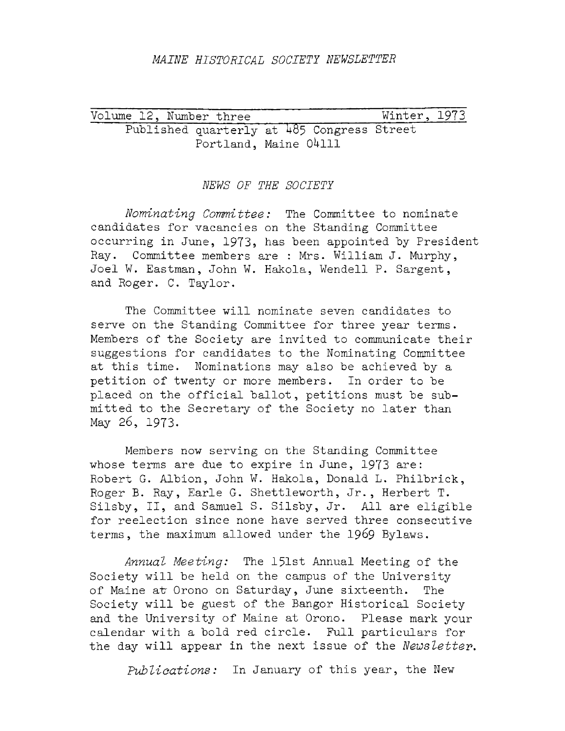#### *MAINE HISTORICAL SOCIETY NEWSLETTER*

Volume 12, Number three Winter, 1973 Published quarterly at 485 Congress Street Portland, Maine 04111

#### *NEWS OF THE SOCIETY*

*Nominating Committee:* The Committee to nominate candidates for vacancies on the Standing Committee occurring in June, 1973, has been appointed by President Ray. Committee members are : Mrs. William J. Murphy, Joel W. Eastman, John W. Hakola, Wendell P. Sargent, and Roger. C. Taylor.

The Committee will nominate seven candidates to serve on the Standing Committee for three year terms. Members of the Society are invited to communicate their suggestions for candidates to the Nominating Committee at this time. Nominations may also be achieved by a petition of twenty or more members. In order to be placed on the official ballot, petitions must be submitted to the Secretary of the Society no later than May 26, 1973.

Members now serving on the Standing Committee whose terms are due to expire in June, 1973 are: Robert G. Albion, John W. Hakola, Donald L. Philbrick, Roger B. Ray, Earle G. Shettleworth, Jr., Herbert T. Silsby, II, and Samuel S. Silsby, Jr. All are eligible for reelection since none have served three consecutive terms, the maximum allowed under the 1969 Bylaws.

*Annual Meeting:* The 151st Annual Meeting of the Society will be held on the campus of the University of Maine at Orono on Saturday, June sixteenth. The Society will be guest of the Bangor Historical Society and the University of Maine at Orono. Please mark your calendar with a bold red circle. Full particulars for the day will appear in the next issue of the *Newsletter.*

*Publications:* In January of this year, the New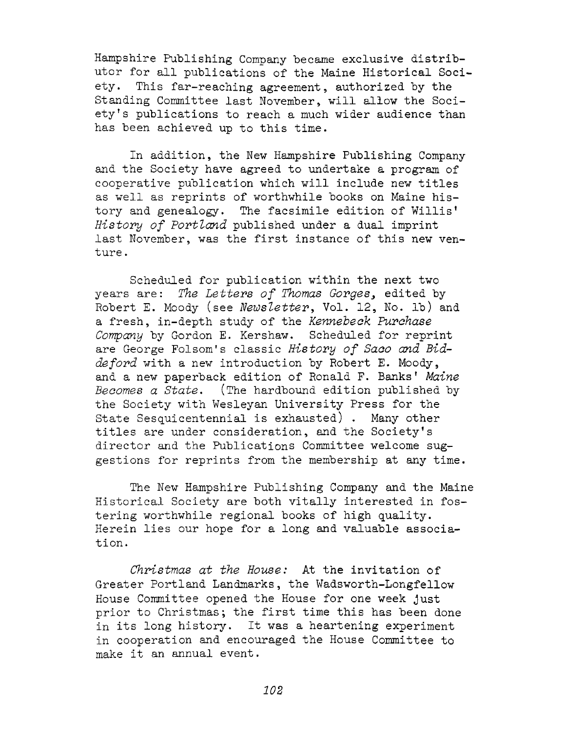Hampshire Publishing Company became exclusive distributor for all publications of the Maine Historical Society. This far-reaching agreement, authorized by the Standing Committee last November, will allow the Society'<sup>s</sup> publications to reach a much wider audience than has been achieved up to this time.

In addition, the New Hampshire Publishing Company and the Society have agreed to undertake a program of cooperative publication which will include new titles as well as reprints of worthwhile books on Maine history and genealogy. The facsimile edition of Willis' *History of Portland* published under a dual imprint last November, was the first instance of this new venture .

Scheduled for publication within the next two years are: *The Letters of Thomas Gorges,* edited by Robert E. Moody (see *Newsletter,* Vol. 12, No. lb) and a fresh, in-depth study of the *Kennebeck Purchase Company* by Gordon E. Kershaw. Scheduled for reprint are George Folsom's classic *History of Saco and Biddeford* with a new introduction by Robert E. Moody, and a new paperback edition of Ronald F. Banks' *Maine Becomes a State,* (The hardbound edition published by the Society with Wesleyan University Press for the State Sesquicentennial is exhausted) . Many other titles are under consideration, and the Society'<sup>s</sup> director and the Publications Committee welcome suggestions for reprints from the membership at any time.

The New Hampshire Publishing Company and the Maine Historical Society are both vitally interested in fostering worthwhile regional books of high quality. Herein lies our hope for a long and valuable association.

*Christmas at the House:* At the invitation of Greater Portland Landmarks, the Wadsworth-Longfellow House Committee opened the House for one week Just prior to Christmas; the first time this has been done in its long history. It was a heartening experiment in cooperation and encouraged the House Committee to make it an annual event.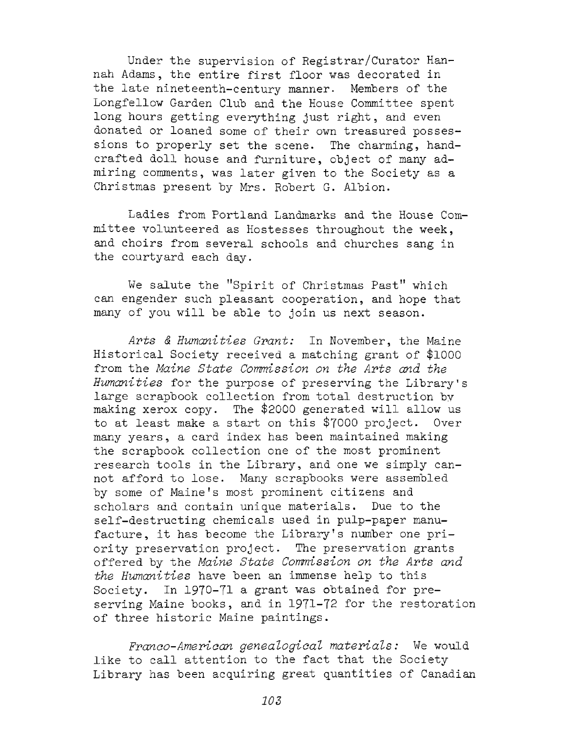Under the supervision of Registrar/Curator Hannah Adams, the entire first floor was decorated in the late nineteenth-century manner. Members of the Longfellow Garden Club and the House Committee spent long hours getting everything just right, and even donated or loaned some of their own treasured possessions to properly set the scene. The charming, handcrafted doll house and furniture, object of many admiring comments, was later given to the Society as a Christmas present by Mrs. Robert G. Albion.

Ladies from Portland Landmarks and the House Committee volunteered as Hostesses throughout the week, and choirs from several schools and churches sang in the courtyard each day.

We salute the "Spirit of Christmas Past" which can engender such pleasant cooperation, and hope that many of you will be able to join us next season.

*Arts & Humanities Grant:* In November, the Maine Historical Society received a matching grant of \$1000 from the *Maine State Commission on the Arts and the Humanities* for the purpose of preserving the Library'<sup>s</sup> large scrapbook collection from total destruction bv making xerox copy. The \$2000 generated will allow us to at least make a start on this \$7000 project. Over many years, a card index has been maintained making the scrapbook collection one of the most prominent research tools in the Library, and one we simply cannot afford to lose. Many scrapbooks were assembled by some of Maine's most prominent citizens and scholars and contain unique materials. Due to the self-destructing chemicals used in pulp-paper manufacture, it has become the Library'<sup>s</sup> number one priority preservation project. The preservation grants offered by the *Maine State Commission on the Arts and the Humanities* have been an immense help to this Society. In 1970-71 a grant was obtained for preserving Maine books, and in 1971-72 for the restoration of three historic Maine paintings.

*Franco-American genealogical materials: We* would like to call attention to the fact that the Society Library has been acquiring great quantities of Canadian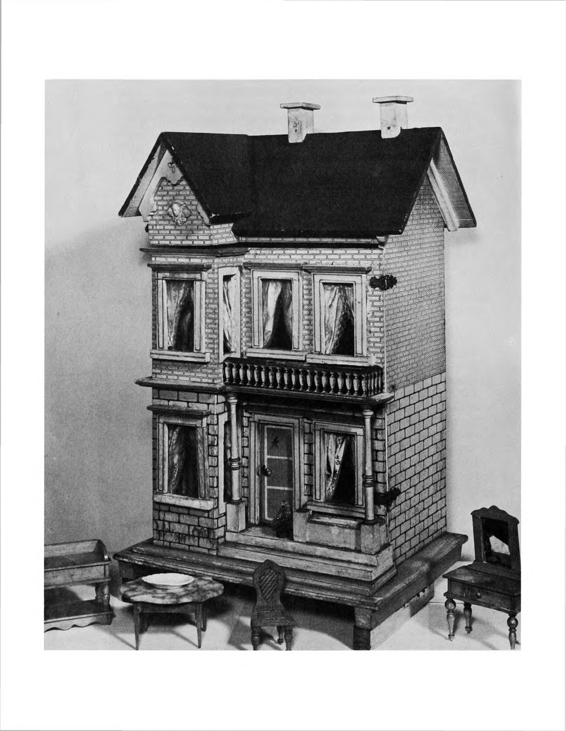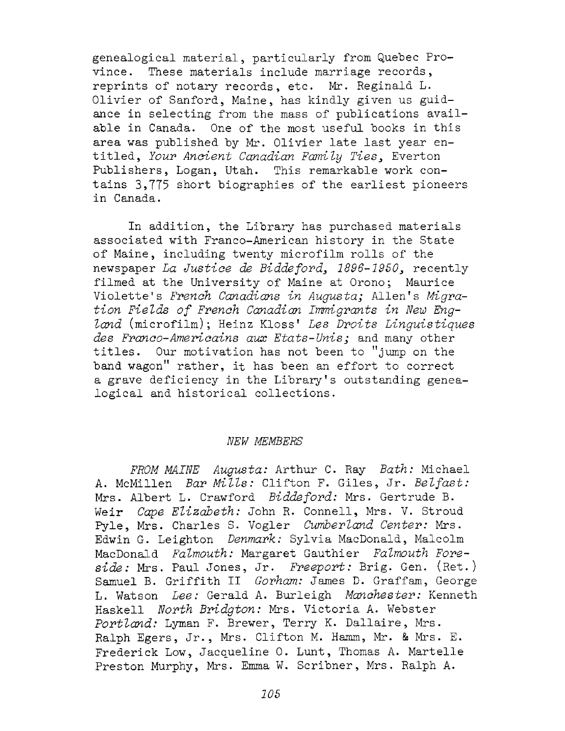genealogical material, particularly from Quebec Province. These materials include marriage records, reprints of notary records, etc. Mr. Reginald L. Olivier of Sanford, Maine, has kindly given us guidance in selecting from the mass of publications available in Canada. One of the most useful books in this area was published by Mr. Olivier late last year entitled, *Your Ancient Canadian Family Ties^* Everton Publishers, Logan, Utah. This remarkable work contains 3,775 short biographies of the earliest pioneers in Canada.

In addition, the Library has purchased materials associated with Franco-American history in the State of Maine, including twenty microfilm rolls of the newspaper *La Justice de Biddeford^ 1896-1950^* recently filmed at the University of Maine at Orono; Maurice Violette'<sup>s</sup> *French Canadians in Augusta;* Alien's *Migration Fields of French Canadian Immigrants in New England* (microfilm); Heinz Kloss' *Les Droits Linguistiques des Franco-Americains aux Etats-Unis;* and many other titles. Our motivation has not been to "jump on the band wagon" rather, it has been an effort to correct a grave deficiency in the Library's outstanding genealogical and historical collections.

#### *NEW MEMBEES*

*FROM MAINE Augusta:* Arthur C. Ray *Bath:* Michael A. McMillen *Bar Mills:* Clifton F. Giles, Jr. *Belfast:* Mrs. Albert L. Crawford *Biddeford:* Mrs. Gertrude B. Weir *Cape Elizabeth:* John R. Connell, Mrs. V. Stroud Pyle, Mrs. Charles S. Vogler *Cumberland Center:* Mrs. Edwin G. Leighton *Denmark:* Sylvia MacDonald, Malcolm MacDonald *Falmouth:* Margaret Gauthier *Falmouth Foreside:* Mrs. Paul Jones, Jr. *Freeport:* Brig. Gen. (Ret.) Samuel B. Griffith II *Gorham:* James D. Graffam, George L. Watson *Lee:* Gerald A. Burleigh *Manchester:* Kenneth Haskell *North Bridgton:* Mrs. Victoria A. Webster *Portland:* Lyman F. Brewer, Terry K. Dallaire, Mrs. Ralph Egers, Jr., Mrs. Clifton M. Hamm, Mr. & Mrs. E. Frederick Low, Jacqueline 0. Lunt, Thomas A. Martelle Preston Murphy, Mrs. Emma W. Scribner, Mrs. Ralph A.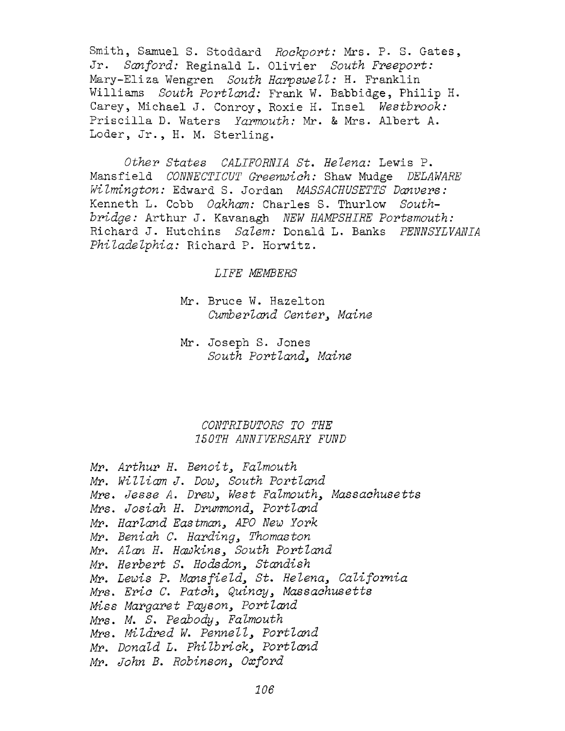Smith, Samuel S. Stoddard *Rockport:* Mrs. P. S. Gates, Jr. *Sanford:* Reginald L. Olivier *South Freeport:* Mary-Eliza Wengren *South Harpswell:* H. Franklin Williams *South Portland:* Frank W. Babbidge, Philip H. Carey, Michael J. Conroy, Roxie H. Insel *Westbrook:* Priscilla D. Waters *Yarmouth:* Mr. & Mrs. Albert A. Loder, Jr., H. M. Sterling.

*Other States CALIFORNIA St. Helena:* Lewis P. Mansfield *CONNECTICUT Greenwich:* Shaw Mudge *DELAWARE Wilmington:* Edward S. Jordan *MASSACHUSETTS Danvers:* Kenneth L. Cobb *Oakham:* Charles S. Thurlow *Southbridge:* Arthur J. Kavanagh *NEW HAMPSHIRE Portsmouth:* Richard J. Hutchins *Salem:* Donald L. Banks *PENNSYLVANIA Philadelphia:* Richard P. Horwitz.

*LIFE MEMBERS*

Mr. Bruce W. Hazelton *Cumberland Center\* Maine*

Mr. Joseph S. Jones *South Portland\* Maine*

## *CONTRIBUTORS TO THE 150TH ANNIVERSARY FUND*

*Mr. Arthur H. Benoit, Falmouth Mr. William J. Dow\* South Portland Mrs. Jesse A. Drew\* West Falmouth\* Massachusetts Mrs. Josiah H. Drummond\* Portland Mr. Harland Eastman\* APO New York Mr. Beniah C. Harding\* Thomaston Mr. Alan H. Hawkins\* South Portland Mr. Herbert S. Hodsdon\* Standish Mr. Lewis P. Mansfield\* St. Helena\* California Mrs. Eric C. Patch\* Quincy\* Massachusetts Miss Margaret Payson\* Portland Mrs. M. S. Peabody*, *Falmouth Mrs. Mildred W. Pennell\* Portland Mr. Donald L. Philbrick\* Portland Mr. John B. Robinson\* Oxford*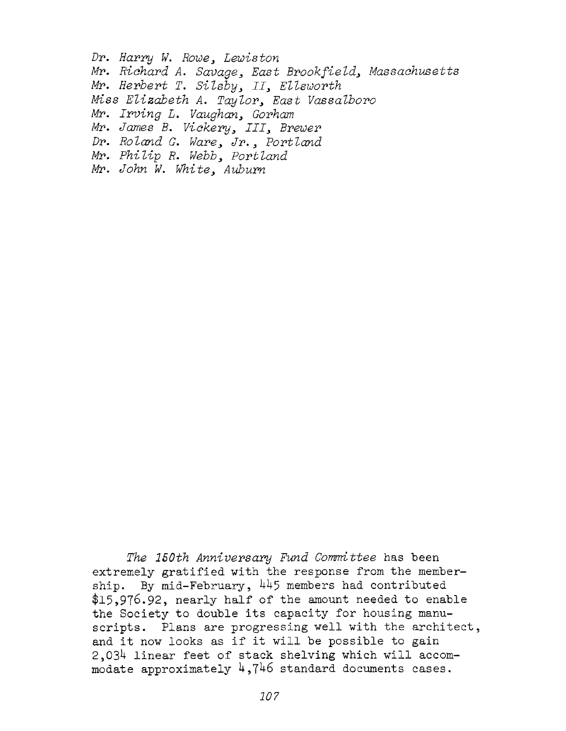*Dr. Harry W. Rowe Lewiston Mr. Richard A. Savage East Brookfield Massachusetts Mr. Herbert . Silsby II\* Ellsworth Miss Elizabeth A. Taylor East Vassalboro Mr. Irving L. Vaughan^ Gorham Mr. James B. Vickery<sup>&</sup>gt; III<sup>3</sup> Brewer Dr. Roland G. Ware, Jr. <sup>3</sup> Portland Mr. Philip R. Webb^ Portland Mr. John W. Whitej Auburn*

*The 150th Anniversary Fund Committee* has been extremely gratified with the response from the membership. By mid-February,  $445$  members had contributed \$15,976.92, nearly half of the amount needed to enable the Society to double its capacity for housing manuscripts. Plans are progressing well with the architect, and it now looks as if it will be possible to gain 2,034 linear feet of stack shelving which will accommodate approximately  $4,746$  standard documents cases.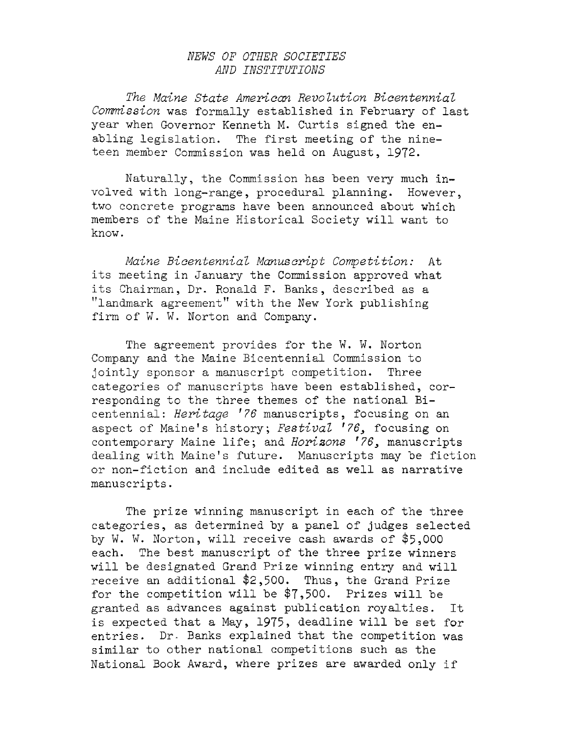### *NEWS OF OTHER SOCIETIES AND INSTITUTIONS*

*The Maine State American Revolution Bicentennial Commission* was formally established in February of last year when Governor Kenneth M. Curtis signed the enabling legislation. The first meeting of the nineteen member Commission was held on August, 1972.

Naturally, the Commission has been very much involved with long-range, procedural planning. However, two concrete programs have been announced about which members of the Maine Historical Society will want to know.

*Maine Bicentennial Manuscript Competition:* At its meeting in January the Commission approved what its Chairman, Dr. Ronald F. Banks, described as a "landmark agreement" with the New York publishing firm of W. W. Norton and Company.

The agreement provides for the W. W. Norton Company and the Maine Bicentennial Commission to jointly sponsor a manuscript competition. Three categories of manuscripts have been established, corresponding to the three themes of the national Bicentennial: *Heritage \*76* manuscripts, focusing on an aspect of Maine's history; *Festival f76^* focusing on contemporary Maine life; and *Horizons* '76, manuscripts dealing with Maine's future. Manuscripts may be fiction or non-fiction and include edited as well as narrative manuscripts.

The prize winning manuscript in each of the three categories, as determined by a panel of judges selected by W. W. Norton, will receive cash awards of \$5,000 each. The best manuscript of the three prize winners will be designated Grand Prize winning entry and will receive an additional \$2,500. Thus, the Grand Prize for the competition will be \$7,500. Prizes will be granted as advances against publication royalties. It is expected that a May, 1975, deadline will be set for entries. Dr- Banks explained that the competition was similar to other national competitions such as the National Book Award, where prizes are awarded only if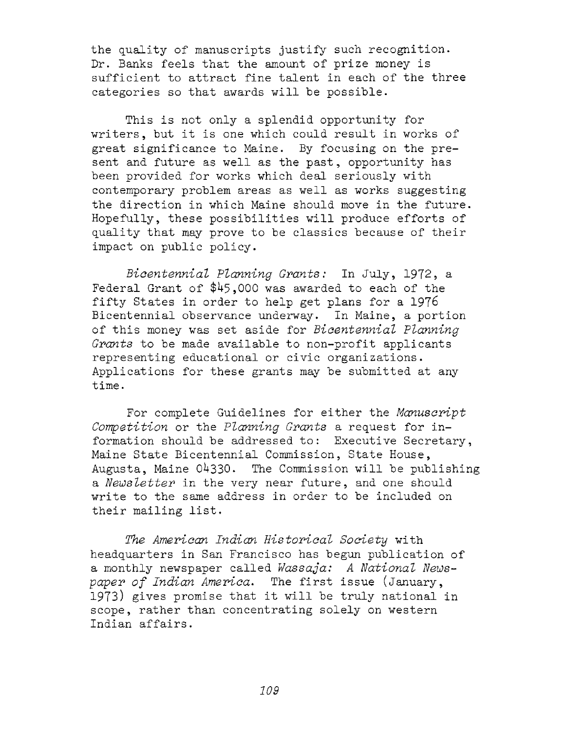the quality of manuscripts justify such recognition. Dr. Banks feels that the amount of prize money is sufficient to attract fine talent in each of the three categories so that awards will be possible.

This is not only a splendid opportunity for writers, but it is one which could result in works of great significance to Maine. By focusing on the present and future as well as the past, opportunity has been provided for works which deal seriously with contemporary problem areas as well as works suggesting the direction in which Maine should move in the future. Hopefully, these possibilities will produce efforts of quality that may prove to be classics because of their impact on public policy.

*Bicentennial Planning Grants:* In July, 1972, a Federal Grant of  $$45,000$  was awarded to each of the fifty States in order to help get plans for a <sup>1976</sup> Bicentennial observance underway. In Maine, a portion of this money was set aside for *Bicentennial Planning Grants* to be made available to non-profit applicants representing educational or civic organizations. Applications for these grants may be submitted at any time.

For complete Guidelines for either the *Manuscript Competition* or the *Planning Grants* a request for information should be addressed to: Executive Secretary, Maine State Bicentennial Commission, State House, Augusta, Maine  $04330$ . The Commission will be publishing a *Newsletter* in the very near future, and one should write to the same address in order to be included on their mailing list.

*The American Indian Historical Society* with headquarters in San Francisco has begun publication of a monthly newspaper called *Wassaja: <sup>A</sup> National Newspaper of Indian America.* The first issue (January, 1973) gives promise that it will be truly national in scope, rather than concentrating solely on western Indian affairs.